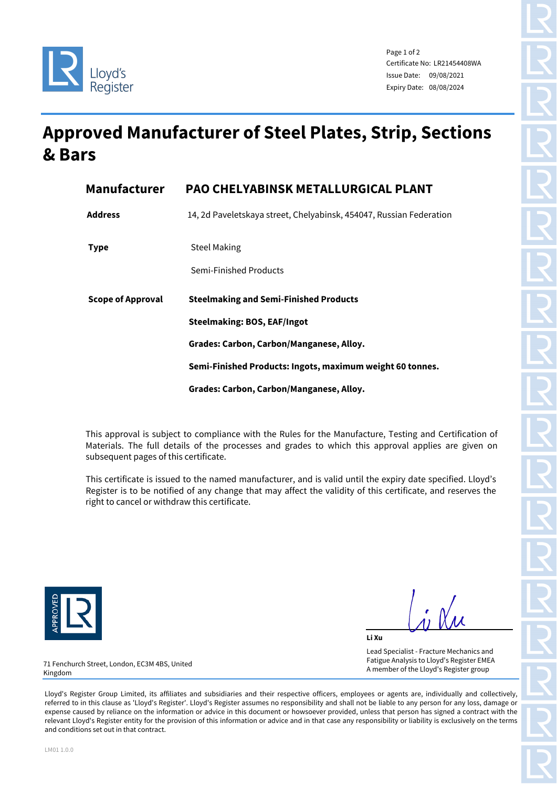



Page 1 of 2 Certificate No: LR21454408WA Issue Date: 09/08/2021 Expiry Date: 08/08/2024

## **Approved Manufacturer of Steel Plates, Strip, Sections & Bars**

| <b>Manufacturer</b> | <b>PAO CHELYABINSK METALLURGICAL PLANT</b>                          |  |  |  |
|---------------------|---------------------------------------------------------------------|--|--|--|
| <b>Address</b>      | 14, 2d Paveletskaya street, Chelyabinsk, 454047, Russian Federation |  |  |  |
| <b>Type</b>         | <b>Steel Making</b>                                                 |  |  |  |
|                     | Semi-Finished Products                                              |  |  |  |
| Scope of Approval   | <b>Steelmaking and Semi-Finished Products</b>                       |  |  |  |
|                     | <b>Steelmaking: BOS, EAF/Ingot</b>                                  |  |  |  |
|                     | Grades: Carbon, Carbon/Manganese, Alloy.                            |  |  |  |
|                     |                                                                     |  |  |  |
|                     | Semi-Finished Products: Ingots, maximum weight 60 tonnes.           |  |  |  |

This approval is subject to compliance with the Rules for the Manufacture, Testing and Certification of Materials. The full details of the processes and grades to which this approval applies are given on subsequent pages of this certificate.

This certificate is issued to the named manufacturer, and is valid until the expiry date specified. Lloyd's Register is to be notified of any change that may affect the validity of this certificate, and reserves the right to cancel or withdraw this certificate.



**Li Xu** Lead Specialist - Fracture Mechanics and Fatigue Analysis to Lloyd's Register EMEA A member of the Lloyd's Register group

71 Fenchurch Street, London, EC3M 4BS, United Kingdom

Lloyd's Register Group Limited, its affiliates and subsidiaries and their respective officers, employees or agents are, individually and collectively, referred to in this clause as 'Lloyd's Register'. Lloyd's Register assumes no responsibility and shall not be liable to any person for any loss, damage or expense caused by reliance on the information or advice in this document or howsoever provided, unless that person has signed a contract with the relevant Lloyd's Register entity for the provision of this information or advice and in that case any responsibility or liability is exclusively on the terms and conditions set out in that contract.